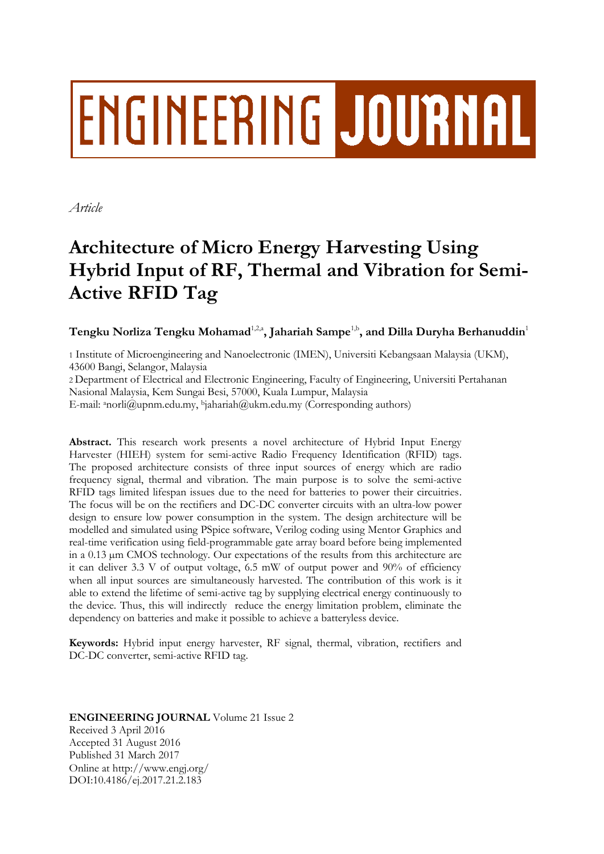# **ENGINEERING JOURNAL**

*Article*

## **Architecture of Micro Energy Harvesting Using Hybrid Input of RF, Thermal and Vibration for Semi-Active RFID Tag**

 $\bf{T}$ engku Norliza  $\bf{T}$ engku Mohamad $^{1,2, \bm{a}}$ , Jahariah Sampe $^{1, \bm{b}}$ , and Dilla Duryha Berhanuddin $^1$ 

1 Institute of Microengineering and Nanoelectronic (IMEN), Universiti Kebangsaan Malaysia (UKM), 43600 Bangi, Selangor, Malaysia

2 Department of Electrical and Electronic Engineering, Faculty of Engineering, Universiti Pertahanan Nasional Malaysia, Kem Sungai Besi, 57000, Kuala Lumpur, Malaysia

E-mail: <sup>a</sup>norli@upnm.edu.my, <sup>b</sup>jahariah@ukm.edu.my (Corresponding authors)

**Abstract.** This research work presents a novel architecture of Hybrid Input Energy Harvester (HIEH) system for semi-active Radio Frequency Identification (RFID) tags. The proposed architecture consists of three input sources of energy which are radio frequency signal, thermal and vibration. The main purpose is to solve the semi-active RFID tags limited lifespan issues due to the need for batteries to power their circuitries. The focus will be on the rectifiers and DC-DC converter circuits with an ultra-low power design to ensure low power consumption in the system. The design architecture will be modelled and simulated using PSpice software, Verilog coding using Mentor Graphics and real-time verification using field-programmable gate array board before being implemented in a 0.13 µm CMOS technology. Our expectations of the results from this architecture are it can deliver 3.3 V of output voltage,  $6.5$  mW of output power and  $90\%$  of efficiency when all input sources are simultaneously harvested. The contribution of this work is it able to extend the lifetime of semi-active tag by supplying electrical energy continuously to the device. Thus, this will indirectly reduce the energy limitation problem, eliminate the dependency on batteries and make it possible to achieve a batteryless device.

**Keywords:** Hybrid input energy harvester, RF signal, thermal, vibration, rectifiers and DC-DC converter, semi-active RFID tag.

#### **ENGINEERING JOURNAL** Volume 21 Issue 2 Received 3 April 2016 Accepted 31 August 2016 Published 31 March 2017 Online at http://www.engj.org/ DOI:10.4186/ej.2017.21.2.183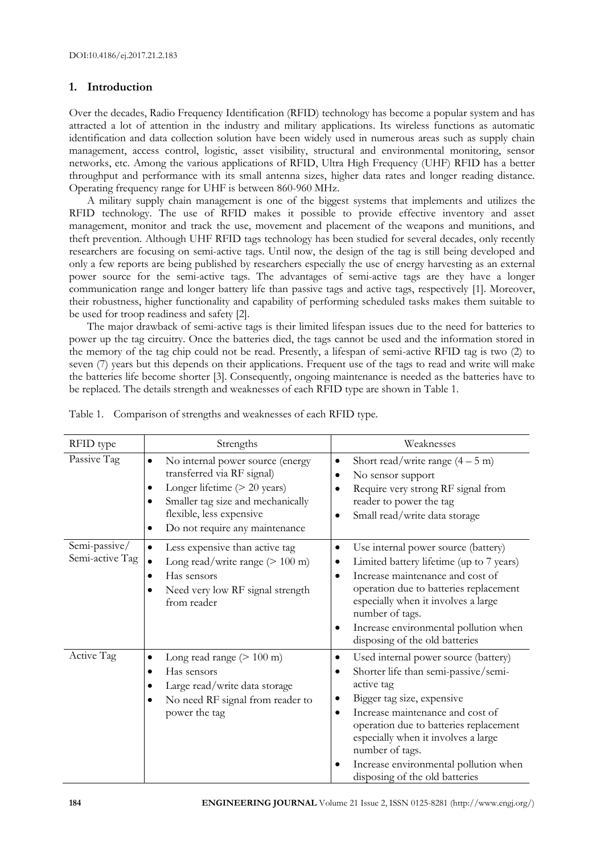#### **1. Introduction**

Over the decades, Radio Frequency Identification (RFID) technology has become a popular system and has attracted a lot of attention in the industry and military applications. Its wireless functions as automatic identification and data collection solution have been widely used in numerous areas such as supply chain management, access control, logistic, asset visibility, structural and environmental monitoring, sensor networks, etc. Among the various applications of RFID, Ultra High Frequency (UHF) RFID has a better throughput and performance with its small antenna sizes, higher data rates and longer reading distance. Operating frequency range for UHF is between 860-960 MHz.

A military supply chain management is one of the biggest systems that implements and utilizes the RFID technology. The use of RFID makes it possible to provide effective inventory and asset management, monitor and track the use, movement and placement of the weapons and munitions, and theft prevention. Although UHF RFID tags technology has been studied for several decades, only recently researchers are focusing on semi-active tags. Until now, the design of the tag is still being developed and only a few reports are being published by researchers especially the use of energy harvesting as an external power source for the semi-active tags. The advantages of semi-active tags are they have a longer communication range and longer battery life than passive tags and active tags, respectively [1]. Moreover, their robustness, higher functionality and capability of performing scheduled tasks makes them suitable to be used for troop readiness and safety [2].

The major drawback of semi-active tags is their limited lifespan issues due to the need for batteries to power up the tag circuitry. Once the batteries died, the tags cannot be used and the information stored in the memory of the tag chip could not be read. Presently, a lifespan of semi-active RFID tag is two (2) to seven (7) years but this depends on their applications. Frequent use of the tags to read and write will make the batteries life become shorter [3]. Consequently, ongoing maintenance is needed as the batteries have to be replaced. The details strength and weaknesses of each RFID type are shown in Table 1.

| RFID type                        | Strengths                                                                                                                                                                                           | Weaknesses                                                                                                                                                                                                                                                                                                                                                              |
|----------------------------------|-----------------------------------------------------------------------------------------------------------------------------------------------------------------------------------------------------|-------------------------------------------------------------------------------------------------------------------------------------------------------------------------------------------------------------------------------------------------------------------------------------------------------------------------------------------------------------------------|
| Passive Tag                      | No internal power source (energy<br>transferred via RF signal)<br>Longer lifetime $(> 20$ years)<br>Smaller tag size and mechanically<br>flexible, less expensive<br>Do not require any maintenance | Short read/write range $(4 - 5 \text{ m})$<br>$\bullet$<br>No sensor support<br>٠<br>Require very strong RF signal from<br>٠<br>reader to power the tag<br>Small read/write data storage<br>$\bullet$                                                                                                                                                                   |
| Semi-passive/<br>Semi-active Tag | Less expensive than active tag<br>$\bullet$<br>Long read/write range $(> 100 \text{ m})$<br>Has sensors<br>٠<br>Need very low RF signal strength<br>from reader                                     | Use internal power source (battery)<br>$\bullet$<br>Limited battery lifetime (up to 7 years)<br>٠<br>Increase maintenance and cost of<br>$\bullet$<br>operation due to batteries replacement<br>especially when it involves a large<br>number of tags.<br>Increase environmental pollution when<br>٠<br>disposing of the old batteries                                  |
| Active Tag                       | Long read range $(> 100 \text{ m})$<br>Has sensors<br>Large read/write data storage<br>No need RF signal from reader to<br>power the tag                                                            | Used internal power source (battery)<br>٠<br>Shorter life than semi-passive/semi-<br>$\bullet$<br>active tag<br>Bigger tag size, expensive<br>٠<br>Increase maintenance and cost of<br>٠<br>operation due to batteries replacement<br>especially when it involves a large<br>number of tags.<br>Increase environmental pollution when<br>disposing of the old batteries |

| Table 1. Comparison of strengths and weaknesses of each RFID type. |  |  |  |  |  |  |  |  |  |
|--------------------------------------------------------------------|--|--|--|--|--|--|--|--|--|
|--------------------------------------------------------------------|--|--|--|--|--|--|--|--|--|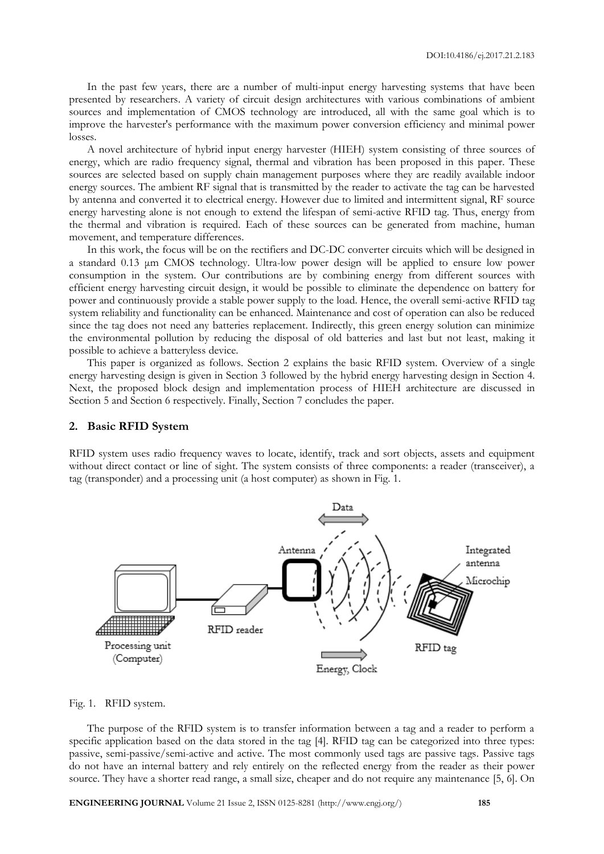In the past few years, there are a number of multi-input energy harvesting systems that have been presented by researchers. A variety of circuit design architectures with various combinations of ambient sources and implementation of CMOS technology are introduced, all with the same goal which is to improve the harvester's performance with the maximum power conversion efficiency and minimal power losses.

A novel architecture of hybrid input energy harvester (HIEH) system consisting of three sources of energy, which are radio frequency signal, thermal and vibration has been proposed in this paper. These sources are selected based on supply chain management purposes where they are readily available indoor energy sources. The ambient RF signal that is transmitted by the reader to activate the tag can be harvested by antenna and converted it to electrical energy. However due to limited and intermittent signal, RF source energy harvesting alone is not enough to extend the lifespan of semi-active RFID tag. Thus, energy from the thermal and vibration is required. Each of these sources can be generated from machine, human movement, and temperature differences.

In this work, the focus will be on the rectifiers and DC-DC converter circuits which will be designed in a standard 0.13 μm CMOS technology. Ultra-low power design will be applied to ensure low power consumption in the system. Our contributions are by combining energy from different sources with efficient energy harvesting circuit design, it would be possible to eliminate the dependence on battery for power and continuously provide a stable power supply to the load. Hence, the overall semi-active RFID tag system reliability and functionality can be enhanced. Maintenance and cost of operation can also be reduced since the tag does not need any batteries replacement. Indirectly, this green energy solution can minimize the environmental pollution by reducing the disposal of old batteries and last but not least, making it possible to achieve a batteryless device.

This paper is organized as follows. Section 2 explains the basic RFID system. Overview of a single energy harvesting design is given in Section 3 followed by the hybrid energy harvesting design in Section 4. Next, the proposed block design and implementation process of HIEH architecture are discussed in Section 5 and Section 6 respectively. Finally, Section 7 concludes the paper.

#### **2. Basic RFID System**

RFID system uses radio frequency waves to locate, identify, track and sort objects, assets and equipment without direct contact or line of sight. The system consists of three components: a reader (transceiver), a tag (transponder) and a processing unit (a host computer) as shown in Fig. 1.



#### Fig. 1. RFID system.

The purpose of the RFID system is to transfer information between a tag and a reader to perform a specific application based on the data stored in the tag [4]. RFID tag can be categorized into three types: passive, semi-passive/semi-active and active. The most commonly used tags are passive tags. Passive tags do not have an internal battery and rely entirely on the reflected energy from the reader as their power source. They have a shorter read range, a small size, cheaper and do not require any maintenance [5, 6]. On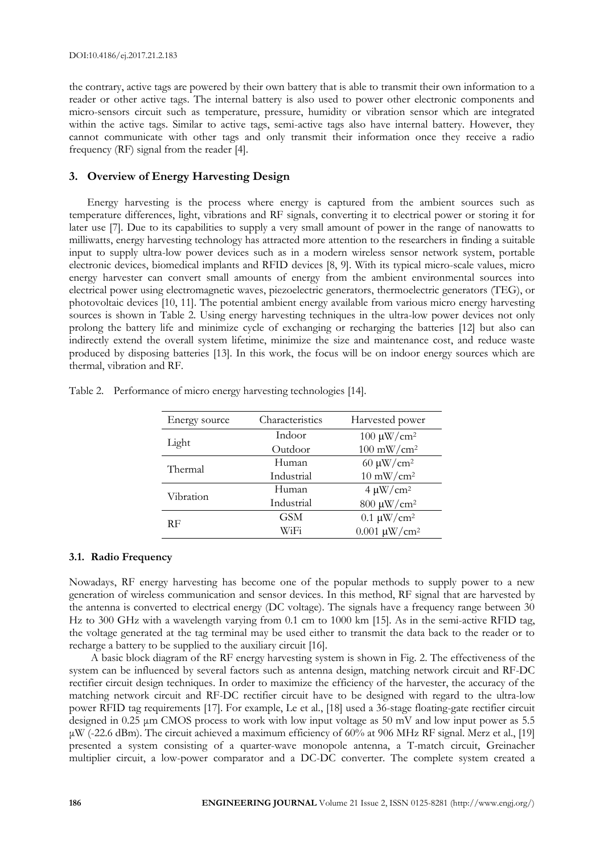the contrary, active tags are powered by their own battery that is able to transmit their own information to a reader or other active tags. The internal battery is also used to power other electronic components and micro-sensors circuit such as temperature, pressure, humidity or vibration sensor which are integrated within the active tags. Similar to active tags, semi-active tags also have internal battery. However, they cannot communicate with other tags and only transmit their information once they receive a radio frequency (RF) signal from the reader [4].

#### **3. Overview of Energy Harvesting Design**

Energy harvesting is the process where energy is captured from the ambient sources such as temperature differences, light, vibrations and RF signals, converting it to electrical power or storing it for later use [7]. Due to its capabilities to supply a very small amount of power in the range of nanowatts to milliwatts, energy harvesting technology has attracted more attention to the researchers in finding a suitable input to supply ultra-low power devices such as in a modern wireless sensor network system, portable electronic devices, biomedical implants and RFID devices [8, 9]. With its typical micro-scale values, micro energy harvester can convert small amounts of energy from the ambient environmental sources into electrical power using electromagnetic waves, piezoelectric generators, thermoelectric generators (TEG), or photovoltaic devices [10, 11]. The potential ambient energy available from various micro energy harvesting sources is shown in Table 2. Using energy harvesting techniques in the ultra-low power devices not only prolong the battery life and minimize cycle of exchanging or recharging the batteries [12] but also can indirectly extend the overall system lifetime, minimize the size and maintenance cost, and reduce waste produced by disposing batteries [13]. In this work, the focus will be on indoor energy sources which are thermal, vibration and RF.

| Energy source | Characteristics | Harvested power             |  |  |  |
|---------------|-----------------|-----------------------------|--|--|--|
| Light         | Indoor          | $100 \mu$ W/cm <sup>2</sup> |  |  |  |
|               | Outdoor         | $100 \text{ mW/cm}^2$       |  |  |  |
| Thermal       | Human           | 60 $\mu$ W/cm <sup>2</sup>  |  |  |  |
|               | Industrial      | $10 \text{ mW/cm}^2$        |  |  |  |
| Vibration     | Human           | $4 \mu W/cm^2$              |  |  |  |
|               | Industrial      | 800 μW/cm <sup>2</sup>      |  |  |  |
| RF            | <b>GSM</b>      | $0.1 \text{ \mu W/cm}^2$    |  |  |  |
|               | WiFi            | $0.001 \ \mu W/cm^2$        |  |  |  |

Table 2. Performance of micro energy harvesting technologies [14].

#### **3.1. Radio Frequency**

Nowadays, RF energy harvesting has become one of the popular methods to supply power to a new generation of wireless communication and sensor devices. In this method, RF signal that are harvested by the antenna is converted to electrical energy (DC voltage). The signals have a frequency range between 30 Hz to 300 GHz with a wavelength varying from 0.1 cm to 1000 km [15]. As in the semi-active RFID tag, the voltage generated at the tag terminal may be used either to transmit the data back to the reader or to recharge a battery to be supplied to the auxiliary circuit [16].

A basic block diagram of the RF energy harvesting system is shown in Fig. 2. The effectiveness of the system can be influenced by several factors such as antenna design, matching network circuit and RF-DC rectifier circuit design techniques. In order to maximize the efficiency of the harvester, the accuracy of the matching network circuit and RF-DC rectifier circuit have to be designed with regard to the ultra-low power RFID tag requirements [17]. For example, Le et al., [18] used a 36-stage floating-gate rectifier circuit designed in 0.25 μm CMOS process to work with low input voltage as 50 mV and low input power as 5.5 μW (-22.6 dBm). The circuit achieved a maximum efficiency of 60% at 906 MHz RF signal. Merz et al., [19] presented a system consisting of a quarter-wave monopole antenna, a T-match circuit, Greinacher multiplier circuit, a low-power comparator and a DC-DC converter. The complete system created a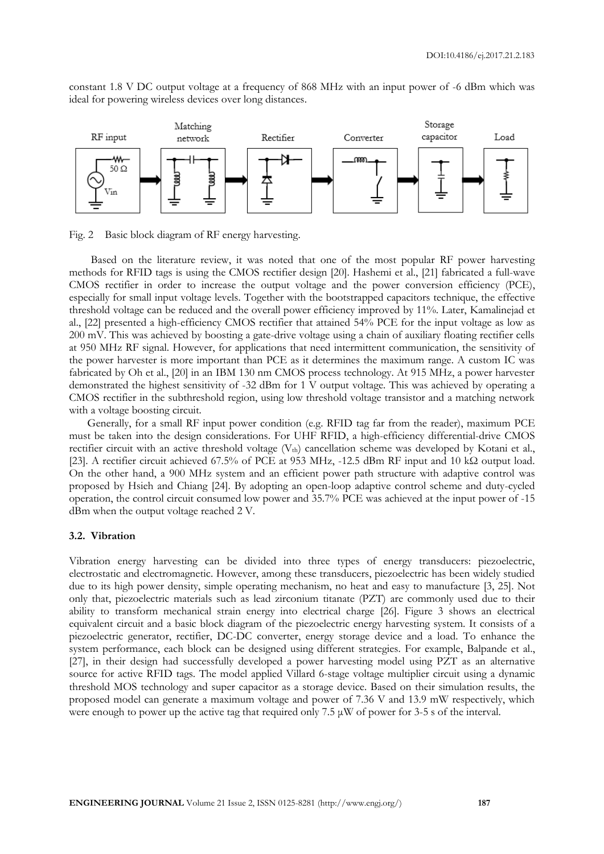constant 1.8 V DC output voltage at a frequency of 868 MHz with an input power of -6 dBm which was ideal for powering wireless devices over long distances.



Fig. 2 Basic block diagram of RF energy harvesting.

Based on the literature review, it was noted that one of the most popular RF power harvesting methods for RFID tags is using the CMOS rectifier design [20]. Hashemi et al., [21] fabricated a full-wave CMOS rectifier in order to increase the output voltage and the power conversion efficiency (PCE), especially for small input voltage levels. Together with the bootstrapped capacitors technique, the effective threshold voltage can be reduced and the overall power efficiency improved by 11%. Later, Kamalinejad et al., [22] presented a high-efficiency CMOS rectifier that attained 54% PCE for the input voltage as low as 200 mV. This was achieved by boosting a gate-drive voltage using a chain of auxiliary floating rectifier cells at 950 MHz RF signal. However, for applications that need intermittent communication, the sensitivity of the power harvester is more important than PCE as it determines the maximum range. A custom IC was fabricated by Oh et al., [20] in an IBM 130 nm CMOS process technology. At 915 MHz, a power harvester demonstrated the highest sensitivity of -32 dBm for 1 V output voltage. This was achieved by operating a CMOS rectifier in the subthreshold region, using low threshold voltage transistor and a matching network with a voltage boosting circuit.

Generally, for a small RF input power condition (e.g. RFID tag far from the reader), maximum PCE must be taken into the design considerations. For UHF RFID, a high-efficiency differential-drive CMOS rectifier circuit with an active threshold voltage  $(V<sub>th</sub>)$  cancellation scheme was developed by Kotani et al., [23]. A rectifier circuit achieved 67.5% of PCE at 953 MHz, -12.5 dBm RF input and 10 kΩ output load. On the other hand, a 900 MHz system and an efficient power path structure with adaptive control was proposed by Hsieh and Chiang [24]. By adopting an open-loop adaptive control scheme and duty-cycled operation, the control circuit consumed low power and 35.7% PCE was achieved at the input power of -15 dBm when the output voltage reached 2 V.

#### **3.2. Vibration**

Vibration energy harvesting can be divided into three types of energy transducers: piezoelectric, electrostatic and electromagnetic. However, among these transducers, piezoelectric has been widely studied due to its high power density, simple operating mechanism, no heat and easy to manufacture [3, 25]. Not only that, piezoelectric materials such as lead zirconium titanate (PZT) are commonly used due to their ability to transform mechanical strain energy into electrical charge [26]. Figure 3 shows an electrical equivalent circuit and a basic block diagram of the piezoelectric energy harvesting system. It consists of a piezoelectric generator, rectifier, DC-DC converter, energy storage device and a load. To enhance the system performance, each block can be designed using different strategies. For example, Balpande et al., [27], in their design had successfully developed a power harvesting model using PZT as an alternative source for active RFID tags. The model applied Villard 6-stage voltage multiplier circuit using a dynamic threshold MOS technology and super capacitor as a storage device. Based on their simulation results, the proposed model can generate a maximum voltage and power of 7.36 V and 13.9 mW respectively, which were enough to power up the active tag that required only 7.5  $\mu$ W of power for 3-5 s of the interval.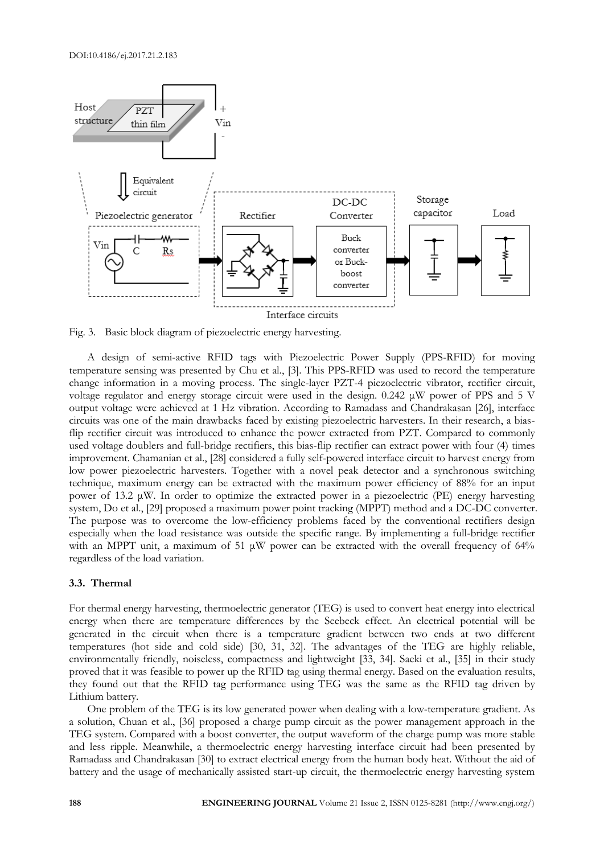

Fig. 3. Basic block diagram of piezoelectric energy harvesting.

A design of semi-active RFID tags with Piezoelectric Power Supply (PPS-RFID) for moving temperature sensing was presented by Chu et al., [3]. This PPS-RFID was used to record the temperature change information in a moving process. The single-layer PZT-4 piezoelectric vibrator, rectifier circuit, voltage regulator and energy storage circuit were used in the design. 0.242 μW power of PPS and 5 V output voltage were achieved at 1 Hz vibration. According to Ramadass and Chandrakasan [26], interface circuits was one of the main drawbacks faced by existing piezoelectric harvesters. In their research, a biasflip rectifier circuit was introduced to enhance the power extracted from PZT. Compared to commonly used voltage doublers and full-bridge rectifiers, this bias-flip rectifier can extract power with four (4) times improvement. Chamanian et al., [28] considered a fully self-powered interface circuit to harvest energy from low power piezoelectric harvesters. Together with a novel peak detector and a synchronous switching technique, maximum energy can be extracted with the maximum power efficiency of 88% for an input power of 13.2 μW. In order to optimize the extracted power in a piezoelectric (PE) energy harvesting system, Do et al., [29] proposed a maximum power point tracking (MPPT) method and a DC-DC converter. The purpose was to overcome the low-efficiency problems faced by the conventional rectifiers design especially when the load resistance was outside the specific range. By implementing a full-bridge rectifier with an MPPT unit, a maximum of 51  $\mu$ W power can be extracted with the overall frequency of 64% regardless of the load variation.

#### **3.3. Thermal**

For thermal energy harvesting, thermoelectric generator (TEG) is used to convert heat energy into electrical energy when there are temperature differences by the Seebeck effect. An electrical potential will be generated in the circuit when there is a temperature gradient between two ends at two different temperatures (hot side and cold side) [30, 31, 32]. The advantages of the TEG are highly reliable, environmentally friendly, noiseless, compactness and lightweight [33, 34]. Saeki et al., [35] in their study proved that it was feasible to power up the RFID tag using thermal energy. Based on the evaluation results, they found out that the RFID tag performance using TEG was the same as the RFID tag driven by Lithium battery.

One problem of the TEG is its low generated power when dealing with a low-temperature gradient. As a solution, Chuan et al., [36] proposed a charge pump circuit as the power management approach in the TEG system. Compared with a boost converter, the output waveform of the charge pump was more stable and less ripple. Meanwhile, a thermoelectric energy harvesting interface circuit had been presented by Ramadass and Chandrakasan [30] to extract electrical energy from the human body heat. Without the aid of battery and the usage of mechanically assisted start-up circuit, the thermoelectric energy harvesting system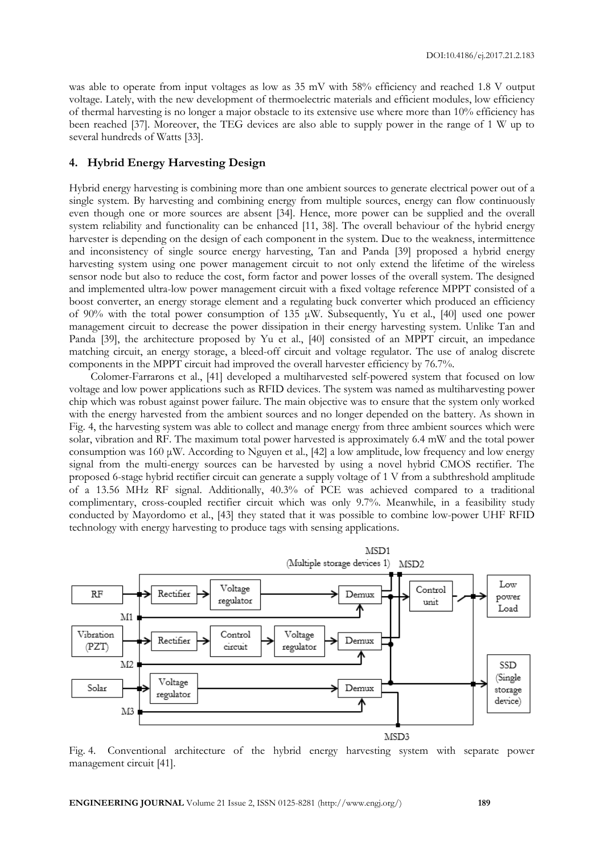was able to operate from input voltages as low as 35 mV with 58% efficiency and reached 1.8 V output voltage. Lately, with the new development of thermoelectric materials and efficient modules, low efficiency of thermal harvesting is no longer a major obstacle to its extensive use where more than 10% efficiency has been reached [37]. Moreover, the TEG devices are also able to supply power in the range of 1 W up to several hundreds of Watts [33].

#### **4. Hybrid Energy Harvesting Design**

Hybrid energy harvesting is combining more than one ambient sources to generate electrical power out of a single system. By harvesting and combining energy from multiple sources, energy can flow continuously even though one or more sources are absent [34]. Hence, more power can be supplied and the overall system reliability and functionality can be enhanced [11, 38]. The overall behaviour of the hybrid energy harvester is depending on the design of each component in the system. Due to the weakness, intermittence and inconsistency of single source energy harvesting, Tan and Panda [39] proposed a hybrid energy harvesting system using one power management circuit to not only extend the lifetime of the wireless sensor node but also to reduce the cost, form factor and power losses of the overall system. The designed and implemented ultra-low power management circuit with a fixed voltage reference MPPT consisted of a boost converter, an energy storage element and a regulating buck converter which produced an efficiency of 90% with the total power consumption of 135 μW. Subsequently, Yu et al., [40] used one power management circuit to decrease the power dissipation in their energy harvesting system. Unlike Tan and Panda [39], the architecture proposed by Yu et al., [40] consisted of an MPPT circuit, an impedance matching circuit, an energy storage, a bleed-off circuit and voltage regulator. The use of analog discrete components in the MPPT circuit had improved the overall harvester efficiency by 76.7%.

Colomer-Farrarons et al., [41] developed a multiharvested self-powered system that focused on low voltage and low power applications such as RFID devices. The system was named as multiharvesting power chip which was robust against power failure. The main objective was to ensure that the system only worked with the energy harvested from the ambient sources and no longer depended on the battery. As shown in Fig. 4, the harvesting system was able to collect and manage energy from three ambient sources which were solar, vibration and RF. The maximum total power harvested is approximately 6.4 mW and the total power consumption was 160 μW. According to Nguyen et al., [42] a low amplitude, low frequency and low energy signal from the multi-energy sources can be harvested by using a novel hybrid CMOS rectifier. The proposed 6-stage hybrid rectifier circuit can generate a supply voltage of 1 V from a subthreshold amplitude of a 13.56 MHz RF signal. Additionally, 40.3% of PCE was achieved compared to a traditional complimentary, cross-coupled rectifier circuit which was only 9.7%. Meanwhile, in a feasibility study conducted by Mayordomo et al., [43] they stated that it was possible to combine low-power UHF RFID technology with energy harvesting to produce tags with sensing applications.



Fig. 4. Conventional architecture of the hybrid energy harvesting system with separate power management circuit [41].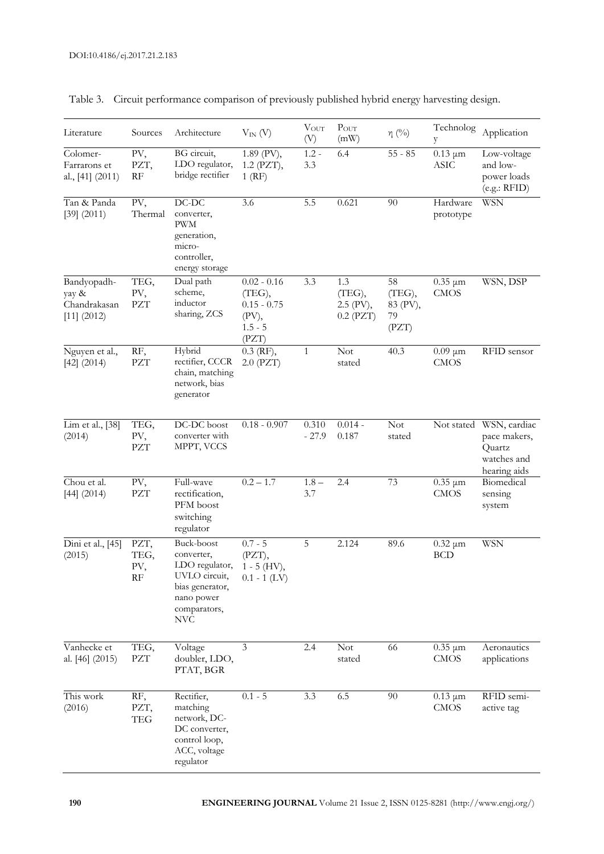| Literature                                              | Sources                         | Architecture                                                                                                               | $V_{IN} (V)$                                                            | $\ensuremath{\text{V}}\xspace_{\ensuremath{\text{OUT}}\xspace}$<br>(V) | $P_{OUT}$<br>(mW)                         | $\eta$ (%)                              | Technolog<br>y                      | Application                                                           |
|---------------------------------------------------------|---------------------------------|----------------------------------------------------------------------------------------------------------------------------|-------------------------------------------------------------------------|------------------------------------------------------------------------|-------------------------------------------|-----------------------------------------|-------------------------------------|-----------------------------------------------------------------------|
| Colomer-<br>Farrarons et<br>al., [41] (2011)            | PV,<br>PZT,<br>RF               | BG circuit,<br>LDO regulator,<br>bridge rectifier                                                                          | 1.89 (PV),<br>1.2 (PZT),<br>$1$ (RF)                                    | $1.2 -$<br>3.3                                                         | 6.4                                       | $55 - 85$                               | $0.13 \mu m$<br><b>ASIC</b>         | Low-voltage<br>and low-<br>power loads<br>(e.g.: RFID)                |
| Tan & Panda<br>$[39]$ $(2011)$                          | PV,<br>Thermal                  | $DC-DC$<br>converter,<br><b>PWM</b><br>generation,<br>micro-<br>controller,<br>energy storage                              | 3.6                                                                     | 5.5                                                                    | 0.621                                     | 90                                      | Hardware<br>prototype               | WSN                                                                   |
| Bandyopadh-<br>yay &<br>Chandrakasan<br>$[11]$ $(2012)$ | TEG,<br>PV,<br><b>PZT</b>       | Dual path<br>scheme,<br>inductor<br>sharing, ZCS                                                                           | $0.02 - 0.16$<br>(TEG),<br>$0.15 - 0.75$<br>(PV),<br>$1.5 - 5$<br>(PZT) | 3.3                                                                    | 1.3<br>(TEG),<br>2.5 (PV),<br>$0.2$ (PZT) | 58<br>(TEG),<br>83 (PV),<br>79<br>(PZT) | $\overline{0.35}$ µm<br><b>CMOS</b> | WSN, DSP                                                              |
| Nguyen et al.,<br>$[42]$ (2014)                         | RF,<br><b>PZT</b>               | Hybrid<br>rectifier, CCCR<br>chain, matching<br>network, bias<br>generator                                                 | $0.3$ (RF),<br>$2.0$ (PZT)                                              | $\mathbf{1}$                                                           | Not<br>stated                             | 40.3                                    | $0.09 \mu m$<br><b>CMOS</b>         | RFID sensor                                                           |
| Lim et al., [38]<br>(2014)                              | TEG,<br>PV,<br><b>PZT</b>       | DC-DC boost<br>converter with<br>MPPT, VCCS                                                                                | $0.18 - 0.907$                                                          | 0.310<br>$-27.9$                                                       | $0.014 -$<br>0.187                        | Not<br>stated                           | Not stated                          | WSN, cardiac<br>pace makers,<br>Quartz<br>watches and<br>hearing aids |
| Chou et al.<br>$[44]$ (2014)                            | PV,<br><b>PZT</b>               | Full-wave<br>rectification,<br>PFM boost<br>switching<br>regulator                                                         | $0.2 - 1.7$                                                             | $1.8 -$<br>3.7                                                         | 2.4                                       | 73                                      | $\overline{0.35}$ µm<br><b>CMOS</b> | Biomedical<br>sensing<br>system                                       |
| $\overline{\text{Dini}}$ et al., [45]<br>(2015)         | PZT,<br>TEG,<br>PV,<br>$\rm RF$ | Buck-boost<br>converter,<br>LDO regulator,<br>UVLO circuit,<br>bias generator,<br>nano power<br>comparators,<br><b>NVC</b> | $0.7 - 5$<br>(PZT),<br>$1 - 5$ (HV),<br>$0.1 - 1$ (LV)                  | 5                                                                      | 2.124                                     | 89.6                                    | $0.32 \mu m$<br><b>BCD</b>          | <b>WSN</b>                                                            |
| Vanhecke et<br>al. [46] (2015)                          | TEG,<br>PZT                     | Voltage<br>doubler, LDO,<br>PTAT, BGR                                                                                      | 3                                                                       | 2.4                                                                    | <b>Not</b><br>stated                      | 66                                      | $0.35 \mu m$<br><b>CMOS</b>         | Aeronautics<br>applications                                           |
| This work<br>(2016)                                     | RF,<br>PZT,<br><b>TEG</b>       | Rectifier,<br>matching<br>network, DC-<br>DC converter,<br>control loop,<br>ACC, voltage<br>regulator                      | $0.1 - 5$                                                               | $\overline{3.3}$                                                       | 6.5                                       | 90                                      | $\overline{0.13}$ µm<br><b>CMOS</b> | RFID semi-<br>active tag                                              |

### Table 3. Circuit performance comparison of previously published hybrid energy harvesting design.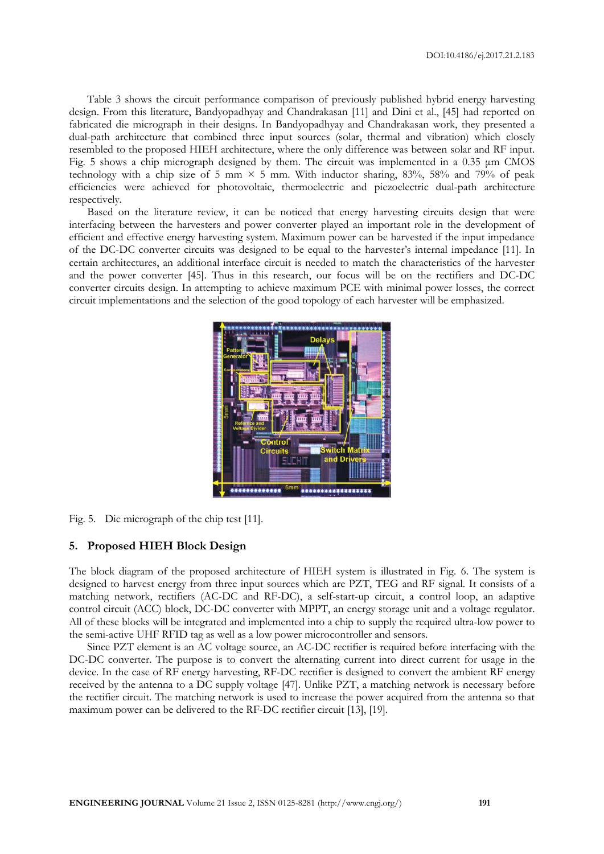Table 3 shows the circuit performance comparison of previously published hybrid energy harvesting design. From this literature, Bandyopadhyay and Chandrakasan [11] and Dini et al., [45] had reported on fabricated die micrograph in their designs. In Bandyopadhyay and Chandrakasan work, they presented a dual-path architecture that combined three input sources (solar, thermal and vibration) which closely resembled to the proposed HIEH architecture, where the only difference was between solar and RF input. Fig. 5 shows a chip micrograph designed by them. The circuit was implemented in a 0.35  $\mu$ m CMOS technology with a chip size of 5 mm  $\times$  5 mm. With inductor sharing, 83%, 58% and 79% of peak efficiencies were achieved for photovoltaic, thermoelectric and piezoelectric dual-path architecture respectively.

Based on the literature review, it can be noticed that energy harvesting circuits design that were interfacing between the harvesters and power converter played an important role in the development of efficient and effective energy harvesting system. Maximum power can be harvested if the input impedance of the DC-DC converter circuits was designed to be equal to the harvester's internal impedance [11]. In certain architectures, an additional interface circuit is needed to match the characteristics of the harvester and the power converter [45]. Thus in this research, our focus will be on the rectifiers and DC-DC converter circuits design. In attempting to achieve maximum PCE with minimal power losses, the correct circuit implementations and the selection of the good topology of each harvester will be emphasized.



Fig. 5. Die micrograph of the chip test [11].

#### **5. Proposed HIEH Block Design**

The block diagram of the proposed architecture of HIEH system is illustrated in Fig. 6. The system is designed to harvest energy from three input sources which are PZT, TEG and RF signal. It consists of a matching network, rectifiers (AC-DC and RF-DC), a self-start-up circuit, a control loop, an adaptive control circuit (ACC) block, DC-DC converter with MPPT, an energy storage unit and a voltage regulator. All of these blocks will be integrated and implemented into a chip to supply the required ultra-low power to the semi-active UHF RFID tag as well as a low power microcontroller and sensors.

Since PZT element is an AC voltage source, an AC-DC rectifier is required before interfacing with the DC-DC converter. The purpose is to convert the alternating current into direct current for usage in the device. In the case of RF energy harvesting, RF-DC rectifier is designed to convert the ambient RF energy received by the antenna to a DC supply voltage [47]. Unlike PZT, a matching network is necessary before the rectifier circuit. The matching network is used to increase the power acquired from the antenna so that maximum power can be delivered to the RF-DC rectifier circuit [13], [19].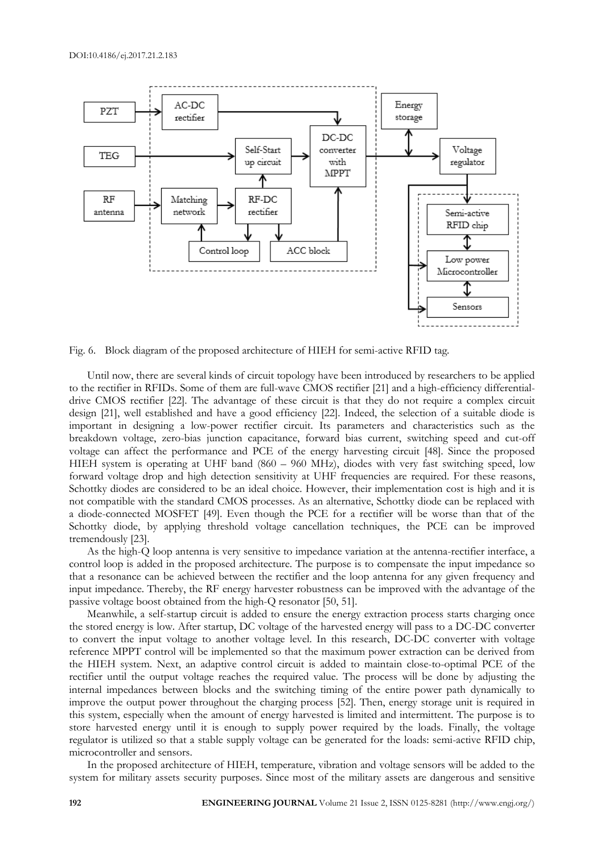

Fig. 6. Block diagram of the proposed architecture of HIEH for semi-active RFID tag*.*

Until now, there are several kinds of circuit topology have been introduced by researchers to be applied to the rectifier in RFIDs. Some of them are full-wave CMOS rectifier [21] and a high-efficiency differentialdrive CMOS rectifier [22]. The advantage of these circuit is that they do not require a complex circuit design [21], well established and have a good efficiency [22]. Indeed, the selection of a suitable diode is important in designing a low-power rectifier circuit. Its parameters and characteristics such as the breakdown voltage, zero-bias junction capacitance, forward bias current, switching speed and cut-off voltage can affect the performance and PCE of the energy harvesting circuit [48]. Since the proposed HIEH system is operating at UHF band (860 – 960 MHz), diodes with very fast switching speed, low forward voltage drop and high detection sensitivity at UHF frequencies are required. For these reasons, Schottky diodes are considered to be an ideal choice. However, their implementation cost is high and it is not compatible with the standard CMOS processes. As an alternative, Schottky diode can be replaced with a diode-connected MOSFET [49]. Even though the PCE for a rectifier will be worse than that of the Schottky diode, by applying threshold voltage cancellation techniques, the PCE can be improved tremendously [23].

As the high-Q loop antenna is very sensitive to impedance variation at the antenna-rectifier interface, a control loop is added in the proposed architecture. The purpose is to compensate the input impedance so that a resonance can be achieved between the rectifier and the loop antenna for any given frequency and input impedance. Thereby, the RF energy harvester robustness can be improved with the advantage of the passive voltage boost obtained from the high-Q resonator [50, 51].

Meanwhile, a self-startup circuit is added to ensure the energy extraction process starts charging once the stored energy is low. After startup, DC voltage of the harvested energy will pass to a DC-DC converter to convert the input voltage to another voltage level. In this research, DC-DC converter with voltage reference MPPT control will be implemented so that the maximum power extraction can be derived from the HIEH system. Next, an adaptive control circuit is added to maintain close-to-optimal PCE of the rectifier until the output voltage reaches the required value. The process will be done by adjusting the internal impedances between blocks and the switching timing of the entire power path dynamically to improve the output power throughout the charging process [52]. Then, energy storage unit is required in this system, especially when the amount of energy harvested is limited and intermittent. The purpose is to store harvested energy until it is enough to supply power required by the loads. Finally, the voltage regulator is utilized so that a stable supply voltage can be generated for the loads: semi-active RFID chip, microcontroller and sensors.

In the proposed architecture of HIEH, temperature, vibration and voltage sensors will be added to the system for military assets security purposes. Since most of the military assets are dangerous and sensitive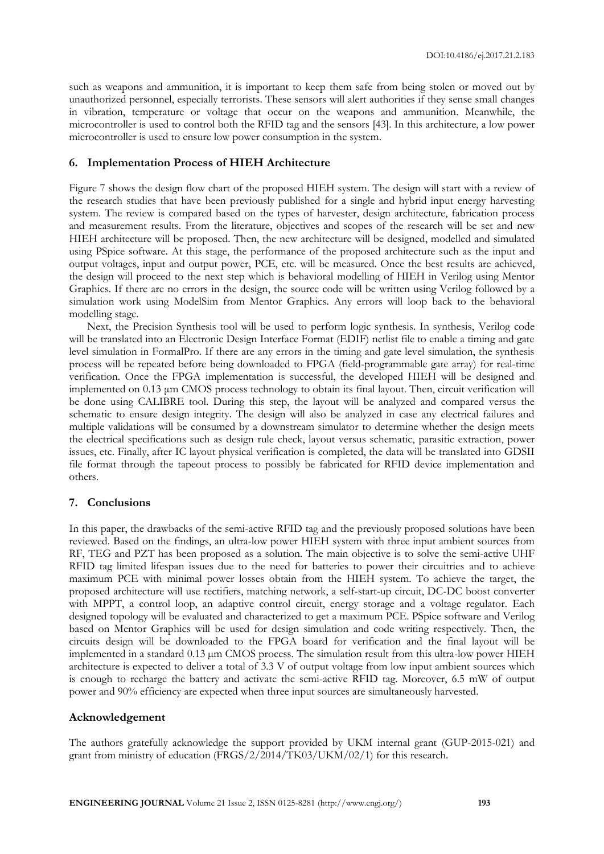such as weapons and ammunition, it is important to keep them safe from being stolen or moved out by unauthorized personnel, especially terrorists. These sensors will alert authorities if they sense small changes in vibration, temperature or voltage that occur on the weapons and ammunition. Meanwhile, the microcontroller is used to control both the RFID tag and the sensors [43]. In this architecture, a low power microcontroller is used to ensure low power consumption in the system.

#### **6. Implementation Process of HIEH Architecture**

Figure 7 shows the design flow chart of the proposed HIEH system. The design will start with a review of the research studies that have been previously published for a single and hybrid input energy harvesting system. The review is compared based on the types of harvester, design architecture, fabrication process and measurement results. From the literature, objectives and scopes of the research will be set and new HIEH architecture will be proposed. Then, the new architecture will be designed, modelled and simulated using PSpice software. At this stage, the performance of the proposed architecture such as the input and output voltages, input and output power, PCE, etc. will be measured. Once the best results are achieved, the design will proceed to the next step which is behavioral modelling of HIEH in Verilog using Mentor Graphics. If there are no errors in the design, the source code will be written using Verilog followed by a simulation work using ModelSim from Mentor Graphics. Any errors will loop back to the behavioral modelling stage.

Next, the Precision Synthesis tool will be used to perform logic synthesis. In synthesis, Verilog code will be translated into an Electronic Design Interface Format (EDIF) netlist file to enable a timing and gate level simulation in FormalPro. If there are any errors in the timing and gate level simulation, the synthesis process will be repeated before being downloaded to FPGA (field-programmable gate array) for real-time verification. Once the FPGA implementation is successful, the developed HIEH will be designed and implemented on 0.13 μm CMOS process technology to obtain its final layout. Then, circuit verification will be done using CALIBRE tool. During this step, the layout will be analyzed and compared versus the schematic to ensure design integrity. The design will also be analyzed in case any electrical failures and multiple validations will be consumed by a downstream simulator to determine whether the design meets the electrical specifications such as design rule check, layout versus schematic, parasitic extraction, power issues, etc. Finally, after IC layout physical verification is completed, the data will be translated into GDSII file format through the tapeout process to possibly be fabricated for RFID device implementation and others.

#### **7. Conclusions**

In this paper, the drawbacks of the semi-active RFID tag and the previously proposed solutions have been reviewed. Based on the findings, an ultra-low power HIEH system with three input ambient sources from RF, TEG and PZT has been proposed as a solution. The main objective is to solve the semi-active UHF RFID tag limited lifespan issues due to the need for batteries to power their circuitries and to achieve maximum PCE with minimal power losses obtain from the HIEH system. To achieve the target, the proposed architecture will use rectifiers, matching network, a self-start-up circuit, DC-DC boost converter with MPPT, a control loop, an adaptive control circuit, energy storage and a voltage regulator. Each designed topology will be evaluated and characterized to get a maximum PCE. PSpice software and Verilog based on Mentor Graphics will be used for design simulation and code writing respectively. Then, the circuits design will be downloaded to the FPGA board for verification and the final layout will be implemented in a standard 0.13 µm CMOS process. The simulation result from this ultra-low power HIEH architecture is expected to deliver a total of 3.3 V of output voltage from low input ambient sources which is enough to recharge the battery and activate the semi-active RFID tag. Moreover, 6.5 mW of output power and 90% efficiency are expected when three input sources are simultaneously harvested.

#### **Acknowledgement**

The authors gratefully acknowledge the support provided by UKM internal grant (GUP-2015-021) and grant from ministry of education (FRGS/2/2014/TK03/UKM/02/1) for this research.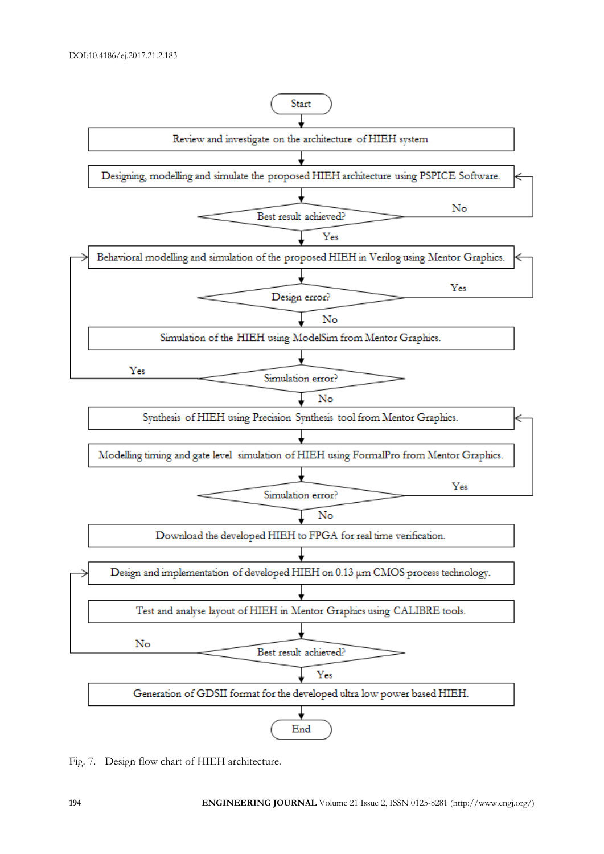

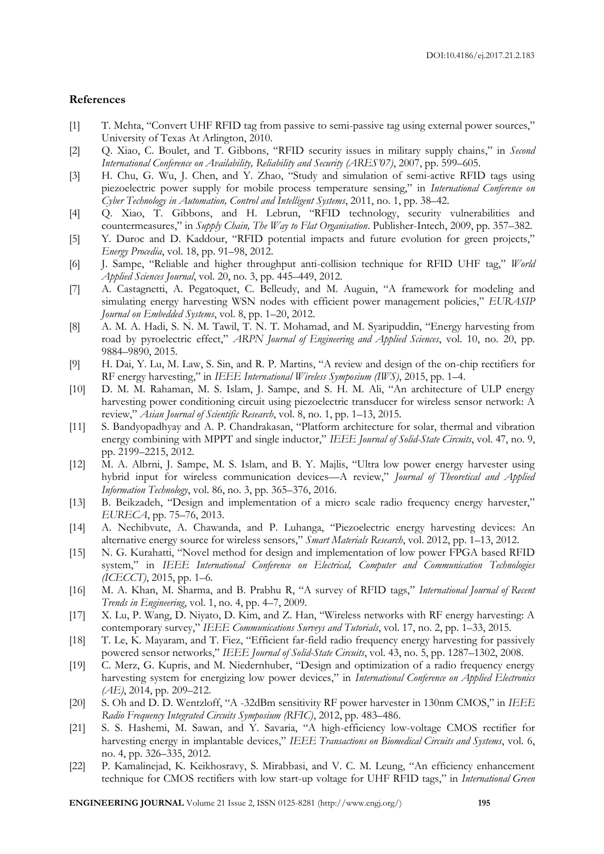#### **References**

- [1] T. Mehta, "Convert UHF RFID tag from passive to semi-passive tag using external power sources," University of Texas At Arlington, 2010.
- [2] Q. Xiao, C. Boulet, and T. Gibbons, "RFID security issues in military supply chains," in *Second International Conference on Availability, Reliability and Security (ARES'07)*, 2007, pp. 599–605.
- [3] H. Chu, G. Wu, J. Chen, and Y. Zhao, "Study and simulation of semi-active RFID tags using piezoelectric power supply for mobile process temperature sensing," in *International Conference on Cyber Technology in Automation, Control and Intelligent Systems*, 2011, no. 1, pp. 38–42.
- [4] Q. Xiao, T. Gibbons, and H. Lebrun, "RFID technology, security vulnerabilities and countermeasures," in *Supply Chain, The Way to Flat Organisation*. Publisher-Intech, 2009, pp. 357–382.
- [5] Y. Duroc and D. Kaddour, "RFID potential impacts and future evolution for green projects," *Energy Procedia*, vol. 18, pp. 91–98, 2012.
- [6] J. Sampe, "Reliable and higher throughput anti-collision technique for RFID UHF tag," *World Applied Sciences Journal*, vol. 20, no. 3, pp. 445–449, 2012.
- [7] A. Castagnetti, A. Pegatoquet, C. Belleudy, and M. Auguin, "A framework for modeling and simulating energy harvesting WSN nodes with efficient power management policies," *EURASIP Journal on Embedded Systems*, vol. 8, pp. 1–20, 2012.
- [8] A. M. A. Hadi, S. N. M. Tawil, T. N. T. Mohamad, and M. Syaripuddin, "Energy harvesting from road by pyroelectric effect," *ARPN Journal of Engineering and Applied Sciences*, vol. 10, no. 20, pp. 9884–9890, 2015.
- [9] H. Dai, Y. Lu, M. Law, S. Sin, and R. P. Martins, "A review and design of the on-chip rectifiers for RF energy harvesting," in *IEEE International Wireless Symposium (IWS)*, 2015, pp. 1–4.
- [10] D. M. M. Rahaman, M. S. Islam, J. Sampe, and S. H. M. Ali, "An architecture of ULP energy harvesting power conditioning circuit using piezoelectric transducer for wireless sensor network: A review," *Asian Journal of Scientific Research*, vol. 8, no. 1, pp. 1–13, 2015.
- [11] S. Bandyopadhyay and A. P. Chandrakasan, "Platform architecture for solar, thermal and vibration energy combining with MPPT and single inductor," *IEEE Journal of Solid-State Circuits*, vol. 47, no. 9, pp. 2199–2215, 2012.
- [12] M. A. Albrni, J. Sampe, M. S. Islam, and B. Y. Majlis, "Ultra low power energy harvester using hybrid input for wireless communication devices—A review," *Journal of Theoretical and Applied Information Technology*, vol. 86, no. 3, pp. 365–376, 2016.
- [13] B. Beikzadeh, "Design and implementation of a micro scale radio frequency energy harvester," *EURECA*, pp. 75–76, 2013.
- [14] A. Nechibvute, A. Chawanda, and P. Luhanga, "Piezoelectric energy harvesting devices: An alternative energy source for wireless sensors," *Smart Materials Research*, vol. 2012, pp. 1–13, 2012.
- [15] N. G. Kurahatti, "Novel method for design and implementation of low power FPGA based RFID system," in *IEEE International Conference on Electrical, Computer and Communication Technologies (ICECCT)*, 2015, pp. 1–6.
- [16] M. A. Khan, M. Sharma, and B. Prabhu R, "A survey of RFID tags," *International Journal of Recent Trends in Engineering*, vol. 1, no. 4, pp. 4–7, 2009.
- [17] X. Lu, P. Wang, D. Niyato, D. Kim, and Z. Han, "Wireless networks with RF energy harvesting: A contemporary survey," *IEEE Communications Surveys and Tutorials*, vol. 17, no. 2, pp. 1–33, 2015.
- [18] T. Le, K. Mayaram, and T. Fiez, "Efficient far-field radio frequency energy harvesting for passively powered sensor networks," *IEEE Journal of Solid-State Circuits*, vol. 43, no. 5, pp. 1287–1302, 2008.
- [19] C. Merz, G. Kupris, and M. Niedernhuber, "Design and optimization of a radio frequency energy harvesting system for energizing low power devices," in *International Conference on Applied Electronics (AE)*, 2014, pp. 209–212.
- [20] S. Oh and D. D. Wentzloff, "A -32dBm sensitivity RF power harvester in 130nm CMOS," in *IEEE Radio Frequency Integrated Circuits Symposium (RFIC)*, 2012, pp. 483–486.
- [21] S. S. Hashemi, M. Sawan, and Y. Savaria, "A high-efficiency low-voltage CMOS rectifier for harvesting energy in implantable devices," *IEEE Transactions on Biomedical Circuits and Systems*, vol. 6, no. 4, pp. 326–335, 2012.
- [22] P. Kamalinejad, K. Keikhosravy, S. Mirabbasi, and V. C. M. Leung, "An efficiency enhancement technique for CMOS rectifiers with low start-up voltage for UHF RFID tags," in *International Green*

**ENGINEERING JOURNAL** Volume 21 Issue 2, ISSN 0125-8281 (http://www.engj.org/) **195**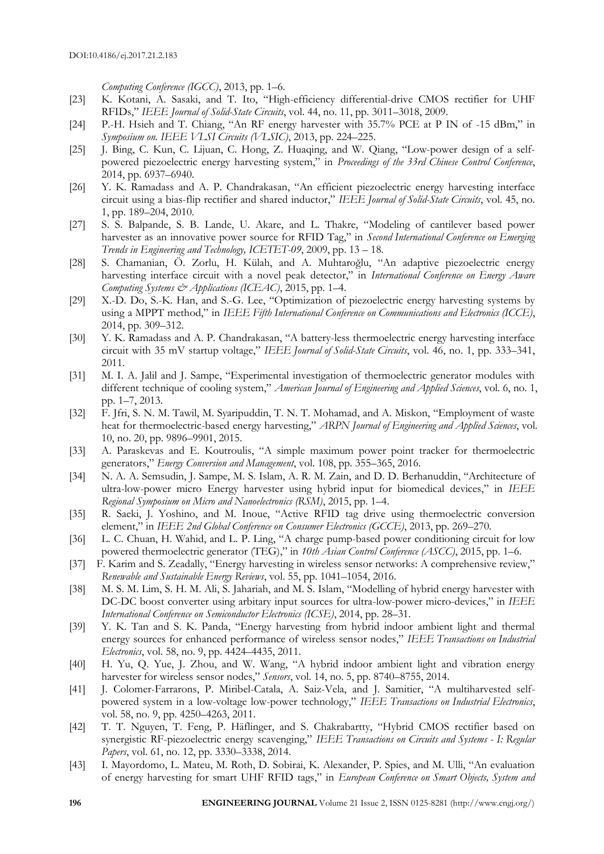*Computing Conference (IGCC)*, 2013, pp. 1–6.

- [23] K. Kotani, A. Sasaki, and T. Ito, "High-efficiency differential-drive CMOS rectifier for UHF RFIDs," *IEEE Journal of Solid-State Circuits*, vol. 44, no. 11, pp. 3011–3018, 2009.
- [24] P.-H. Hsieh and T. Chiang, "An RF energy harvester with 35.7% PCE at P IN of -15 dBm," in *Symposium on. IEEE VLSI Circuits (VLSIC)*, 2013, pp. 224–225.
- [25] J. Bing, C. Kun, C. Lijuan, C. Hong, Z. Huaqing, and W. Qiang, "Low-power design of a selfpowered piezoelectric energy harvesting system," in *Proceedings of the 33rd Chinese Control Conference*, 2014, pp. 6937–6940.
- [26] Y. K. Ramadass and A. P. Chandrakasan, "An efficient piezoelectric energy harvesting interface circuit using a bias-flip rectifier and shared inductor," *IEEE Journal of Solid-State Circuits*, vol. 45, no. 1, pp. 189–204, 2010.
- [27] S. S. Balpande, S. B. Lande, U. Akare, and L. Thakre, "Modeling of cantilever based power harvester as an innovative power source for RFID Tag," in *Second International Conference on Emerging Trends in Engineering and Technology, ICETET-09*, 2009, pp. 13 – 18.
- [28] S. Chamanian, Ö. Zorlu, H. Külah, and A. Muhtaroğlu, "An adaptive piezoelectric energy harvesting interface circuit with a novel peak detector," in *International Conference on Energy Aware Computing Systems & Applications (ICEAC)*, 2015, pp. 1–4.
- [29] X.-D. Do, S.-K. Han, and S.-G. Lee, "Optimization of piezoelectric energy harvesting systems by using a MPPT method," in *IEEE Fifth International Conference on Communications and Electronics (ICCE)*, 2014, pp. 309–312.
- [30] Y. K. Ramadass and A. P. Chandrakasan, "A battery-less thermoelectric energy harvesting interface circuit with 35 mV startup voltage," *IEEE Journal of Solid-State Circuits*, vol. 46, no. 1, pp. 333–341, 2011.
- [31] M. I. A. Jalil and J. Sampe, "Experimental investigation of thermoelectric generator modules with different technique of cooling system," *American Journal of Engineering and Applied Sciences*, vol. 6, no. 1, pp. 1–7, 2013.
- [32] F. Jfri, S. N. M. Tawil, M. Syaripuddin, T. N. T. Mohamad, and A. Miskon, "Employment of waste heat for thermoelectric-based energy harvesting," *ARPN Journal of Engineering and Applied Sciences*, vol. 10, no. 20, pp. 9896–9901, 2015.
- [33] A. Paraskevas and E. Koutroulis, "A simple maximum power point tracker for thermoelectric generators," *Energy Conversion and Management*, vol. 108, pp. 355–365, 2016.
- [34] N. A. A. Semsudin, J. Sampe, M. S. Islam, A. R. M. Zain, and D. D. Berhanuddin, "Architecture of ultra-low-power micro Energy harvester using hybrid input for biomedical devices," in *IEEE Regional Symposium on Micro and Nanoelectronics (RSM)*, 2015, pp. 1–4.
- [35] R. Saeki, J. Yoshino, and M. Inoue, "Active RFID tag drive using thermoelectric conversion element," in *IEEE 2nd Global Conference on Consumer Electronics (GCCE)*, 2013, pp. 269–270.
- [36] L. C. Chuan, H. Wahid, and L. P. Ling, "A charge pump-based power conditioning circuit for low powered thermoelectric generator (TEG)," in *10th Asian Control Conference (ASCC)*, 2015, pp. 1–6.
- [37] F. Karim and S. Zeadally, "Energy harvesting in wireless sensor networks: A comprehensive review," *Renewable and Sustainable Energy Reviews*, vol. 55, pp. 1041–1054, 2016.
- [38] M. S. M. Lim, S. H. M. Ali, S. Jahariah, and M. S. Islam, "Modelling of hybrid energy harvester with DC-DC boost converter using arbitary input sources for ultra-low-power micro-devices," in *IEEE International Conference on Semiconductor Electronics (ICSE)*, 2014, pp. 28–31.
- [39] Y. K. Tan and S. K. Panda, "Energy harvesting from hybrid indoor ambient light and thermal energy sources for enhanced performance of wireless sensor nodes," *IEEE Transactions on Industrial Electronics*, vol. 58, no. 9, pp. 4424–4435, 2011.
- [40] H. Yu, Q. Yue, J. Zhou, and W. Wang, "A hybrid indoor ambient light and vibration energy harvester for wireless sensor nodes," *Sensors*, vol. 14, no. 5, pp. 8740–8755, 2014.
- [41] J. Colomer-Farrarons, P. Miribel-Catala, A. Saiz-Vela, and J. Samitier, "A multiharvested selfpowered system in a low-voltage low-power technology," *IEEE Transactions on Industrial Electronics*, vol. 58, no. 9, pp. 4250–4263, 2011.
- [42] T. T. Nguyen, T. Feng, P. Häflinger, and S. Chakrabartty, "Hybrid CMOS rectifier based on synergistic RF-piezoelectric energy scavenging," *IEEE Transactions on Circuits and Systems - I: Regular Papers*, vol. 61, no. 12, pp. 3330–3338, 2014.
- [43] I. Mayordomo, L. Mateu, M. Roth, D. Sobirai, K. Alexander, P. Spies, and M. Ulli, "An evaluation of energy harvesting for smart UHF RFID tags," in *European Conference on Smart Objects, System and*